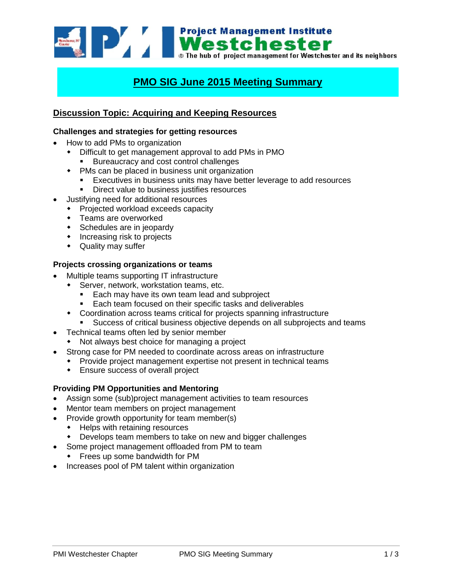

# **PMO SIG June 2015 Meeting Summary**

# **Discussion Topic: Acquiring and Keeping Resources**

### **Challenges and strategies for getting resources**

- How to add PMs to organization
	- Difficult to get management approval to add PMs in PMO
		- **Bureaucracy and cost control challenges**
	- PMs can be placed in business unit organization
		- **Executives in business units may have better leverage to add resources**
		- **Direct value to business justifies resources**
- Justifying need for additional resources
	- Projected workload exceeds capacity
	- Teams are overworked
	- Schedules are in jeopardy
	- Increasing risk to projects
	- Quality may suffer

## **Projects crossing organizations or teams**

- Multiple teams supporting IT infrastructure
	- Server, network, workstation teams, etc.
		- **Each may have its own team lead and subproject**
		- **Each team focused on their specific tasks and deliverables**
	- Coordination across teams critical for projects spanning infrastructure
		- Success of critical business objective depends on all subprojects and teams
- Technical teams often led by senior member
	- Not always best choice for managing a project
- Strong case for PM needed to coordinate across areas on infrastructure
	- Provide project management expertise not present in technical teams
	- Ensure success of overall project

#### **Providing PM Opportunities and Mentoring**

- Assign some (sub)project management activities to team resources
- Mentor team members on project management
- Provide growth opportunity for team member(s)
	- Helps with retaining resources
	- Develops team members to take on new and bigger challenges
- Some project management offloaded from PM to team
	- Frees up some bandwidth for PM
- Increases pool of PM talent within organization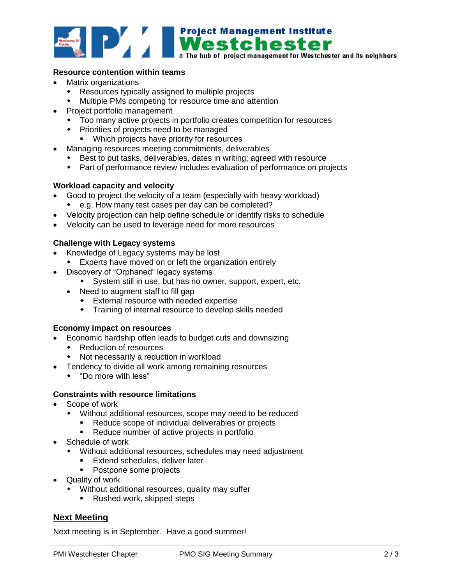

## **Resource contention within teams**

- Matrix organizations
	- Resources typically assigned to multiple projects
	- Multiple PMs competing for resource time and attention
- Project portfolio management
	- Too many active projects in portfolio creates competition for resources
	- Priorities of projects need to be managed
		- **Which projects have priority for resources**
- Managing resources meeting commitments, deliverables
	- Best to put tasks, deliverables, dates in writing; agreed with resource
	- Part of performance review includes evaluation of performance on projects

## **Workload capacity and velocity**

- Good to project the velocity of a team (especially with heavy workload)
	- e.g. How many test cases per day can be completed?
- Velocity projection can help define schedule or identify risks to schedule
- Velocity can be used to leverage need for more resources

## **Challenge with Legacy systems**

- Knowledge of Legacy systems may be lost
	- Experts have moved on or left the organization entirely
- Discovery of "Orphaned" legacy systems
	- System still in use, but has no owner, support, expert, etc.
	- Need to augment staff to fill gap
		- External resource with needed expertise
		- Training of internal resource to develop skills needed

### **Economy impact on resources**

- Economic hardship often leads to budget cuts and downsizing
	- ◆ Reduction of resources
	- Not necessarily a reduction in workload
- **•** Tendency to divide all work among remaining resources
	- "Do more with less"

## **Constraints with resource limitations**

- Scope of work
	- Without additional resources, scope may need to be reduced
		- Reduce scope of individual deliverables or projects
		- Reduce number of active projects in portfolio
- Schedule of work
	- Without additional resources, schedules may need adjustment
		- **Extend schedules, deliver later**
		- Postpone some projects
- Quality of work
	- Without additional resources, quality may suffer
		- **Rushed work, skipped steps**

## **Next Meeting**

Next meeting is in September. Have a good summer!